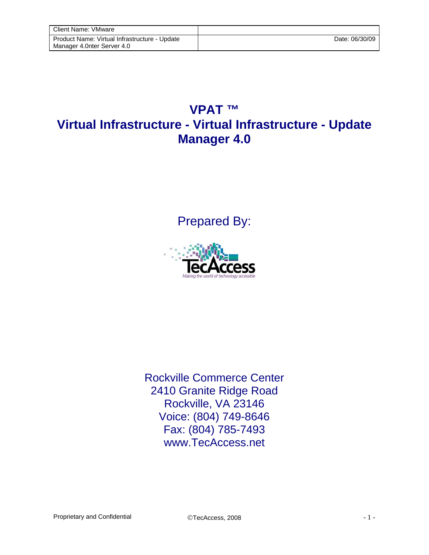## **VPAT ™ Virtual Infrastructure - Virtual Infrastructure - Update Manager 4.0**

Prepared By:



Rockville Commerce Center 2410 Granite Ridge Road Rockville, VA 23146 Voice: (804) 749-8646 Fax: (804) 785-7493 www.TecAccess.net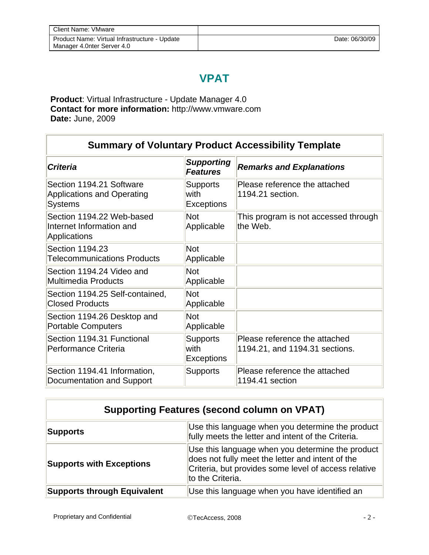## **VPAT**

**Product**: Virtual Infrastructure - Update Manager 4.0 **Contact for more information:** http://www.vmware.com **Date:** June, 2009

i.

| <b>Summary of Voluntary Product Accessibility Template</b>                      |                                              |                                                                 |  |
|---------------------------------------------------------------------------------|----------------------------------------------|-----------------------------------------------------------------|--|
| <b>Criteria</b>                                                                 | <b>Supporting</b><br><b>Features</b>         | <b>Remarks and Explanations</b>                                 |  |
| Section 1194.21 Software<br><b>Applications and Operating</b><br><b>Systems</b> | <b>Supports</b><br>with<br><b>Exceptions</b> | Please reference the attached<br>1194.21 section.               |  |
| Section 1194.22 Web-based<br>Internet Information and<br>Applications           | <b>Not</b><br>Applicable                     | This program is not accessed through<br>the Web.                |  |
| Section 1194.23<br><b>Telecommunications Products</b>                           | <b>Not</b><br>Applicable                     |                                                                 |  |
| Section 1194.24 Video and<br><b>Multimedia Products</b>                         | <b>Not</b><br>Applicable                     |                                                                 |  |
| Section 1194.25 Self-contained,<br><b>Closed Products</b>                       | <b>Not</b><br>Applicable                     |                                                                 |  |
| Section 1194.26 Desktop and<br><b>Portable Computers</b>                        | Not<br>Applicable                            |                                                                 |  |
| Section 1194.31 Functional<br>Performance Criteria                              | <b>Supports</b><br>with<br><b>Exceptions</b> | Please reference the attached<br>1194.21, and 1194.31 sections. |  |
| Section 1194.41 Information,<br>Documentation and Support                       | <b>Supports</b>                              | Please reference the attached<br>1194.41 section                |  |

| <b>Supporting Features (second column on VPAT)</b> |                                                                                                                                                                                  |  |
|----------------------------------------------------|----------------------------------------------------------------------------------------------------------------------------------------------------------------------------------|--|
| <b>Supports</b>                                    | Use this language when you determine the product<br>fully meets the letter and intent of the Criteria.                                                                           |  |
| <b>Supports with Exceptions</b>                    | Use this language when you determine the product<br>does not fully meet the letter and intent of the<br>Criteria, but provides some level of access relative<br>to the Criteria. |  |
| <b>Supports through Equivalent</b>                 | Use this language when you have identified an                                                                                                                                    |  |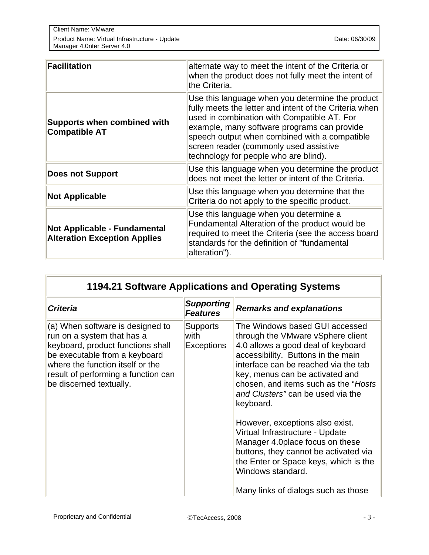| <b>Client Name: VMware</b>                                                  |                |
|-----------------------------------------------------------------------------|----------------|
| Product Name: Virtual Infrastructure - Update<br>Manager 4.0nter Server 4.0 | Date: 06/30/09 |

| Facilitation                                                        | alternate way to meet the intent of the Criteria or<br>when the product does not fully meet the intent of<br>the Criteria.                                                                                                                                                                                                                   |
|---------------------------------------------------------------------|----------------------------------------------------------------------------------------------------------------------------------------------------------------------------------------------------------------------------------------------------------------------------------------------------------------------------------------------|
| <b>Supports when combined with</b><br><b>Compatible AT</b>          | Use this language when you determine the product<br>fully meets the letter and intent of the Criteria when<br>used in combination with Compatible AT. For<br>example, many software programs can provide<br>speech output when combined with a compatible<br>screen reader (commonly used assistive<br>technology for people who are blind). |
| <b>Does not Support</b>                                             | Use this language when you determine the product<br>does not meet the letter or intent of the Criteria.                                                                                                                                                                                                                                      |
| <b>Not Applicable</b>                                               | Use this language when you determine that the<br>Criteria do not apply to the specific product.                                                                                                                                                                                                                                              |
| Not Applicable - Fundamental<br><b>Alteration Exception Applies</b> | Use this language when you determine a<br>Fundamental Alteration of the product would be<br>required to meet the Criteria (see the access board<br>standards for the definition of "fundamental<br>alteration").                                                                                                                             |

## **1194.21 Software Applications and Operating Systems**

| <b>Criteria</b>                                                                                                                                                                                                                            | <b>Supporting</b><br><b>Features</b>         | <b>Remarks and explanations</b>                                                                                                                                                                                                                                                                                       |
|--------------------------------------------------------------------------------------------------------------------------------------------------------------------------------------------------------------------------------------------|----------------------------------------------|-----------------------------------------------------------------------------------------------------------------------------------------------------------------------------------------------------------------------------------------------------------------------------------------------------------------------|
| (a) When software is designed to<br>run on a system that has a<br>keyboard, product functions shall<br>be executable from a keyboard<br>where the function itself or the<br>result of performing a function can<br>be discerned textually. | <b>Supports</b><br>with<br><b>Exceptions</b> | The Windows based GUI accessed<br>through the VMware vSphere client<br>4.0 allows a good deal of keyboard<br>accessibility. Buttons in the main<br>interface can be reached via the tab<br>key, menus can be activated and<br>chosen, and items such as the "Hosts"<br>and Clusters" can be used via the<br>keyboard. |
|                                                                                                                                                                                                                                            |                                              | However, exceptions also exist.<br>Virtual Infrastructure - Update<br>Manager 4.0place focus on these<br>buttons, they cannot be activated via<br>the Enter or Space keys, which is the<br>Windows standard.<br>Many links of dialogs such as those                                                                   |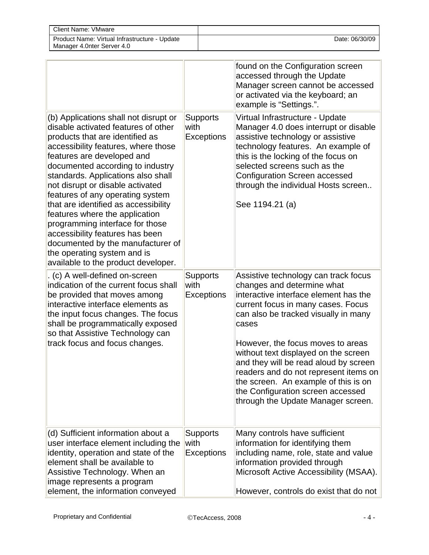| Client Name: VMware                                                         |                |
|-----------------------------------------------------------------------------|----------------|
| Product Name: Virtual Infrastructure - Update<br>Manager 4.0nter Server 4.0 | Date: 06/30/09 |

|                                                                                                                                                                                                                                                                                                                                                                                                                                                                                                                                                                                                   |                                              | found on the Configuration screen<br>accessed through the Update<br>Manager screen cannot be accessed<br>or activated via the keyboard; an<br>example is "Settings.".                                                                                                                                                                                                                                                                                                                |
|---------------------------------------------------------------------------------------------------------------------------------------------------------------------------------------------------------------------------------------------------------------------------------------------------------------------------------------------------------------------------------------------------------------------------------------------------------------------------------------------------------------------------------------------------------------------------------------------------|----------------------------------------------|--------------------------------------------------------------------------------------------------------------------------------------------------------------------------------------------------------------------------------------------------------------------------------------------------------------------------------------------------------------------------------------------------------------------------------------------------------------------------------------|
| (b) Applications shall not disrupt or<br>disable activated features of other<br>products that are identified as<br>accessibility features, where those<br>features are developed and<br>documented according to industry<br>standards. Applications also shall<br>not disrupt or disable activated<br>features of any operating system<br>that are identified as accessibility<br>features where the application<br>programming interface for those<br>accessibility features has been<br>documented by the manufacturer of<br>the operating system and is<br>available to the product developer. | <b>Supports</b><br>with<br><b>Exceptions</b> | Virtual Infrastructure - Update<br>Manager 4.0 does interrupt or disable<br>assistive technology or assistive<br>technology features. An example of<br>this is the locking of the focus on<br>selected screens such as the<br><b>Configuration Screen accessed</b><br>through the individual Hosts screen<br>See 1194.21 (a)                                                                                                                                                         |
| . (c) A well-defined on-screen<br>indication of the current focus shall<br>be provided that moves among<br>interactive interface elements as<br>the input focus changes. The focus<br>shall be programmatically exposed<br>so that Assistive Technology can<br>track focus and focus changes.                                                                                                                                                                                                                                                                                                     | <b>Supports</b><br>with<br><b>Exceptions</b> | Assistive technology can track focus<br>changes and determine what<br>interactive interface element has the<br>current focus in many cases. Focus<br>can also be tracked visually in many<br>cases<br>However, the focus moves to areas<br>without text displayed on the screen<br>and they will be read aloud by screen<br>readers and do not represent items on<br>the screen. An example of this is on<br>the Configuration screen accessed<br>through the Update Manager screen. |
| (d) Sufficient information about a<br>user interface element including the<br>identity, operation and state of the<br>element shall be available to<br>Assistive Technology. When an<br>image represents a program<br>element, the information conveyed                                                                                                                                                                                                                                                                                                                                           | <b>Supports</b><br>with<br><b>Exceptions</b> | Many controls have sufficient<br>information for identifying them<br>including name, role, state and value<br>information provided through<br>Microsoft Active Accessibility (MSAA).<br>However, controls do exist that do not                                                                                                                                                                                                                                                       |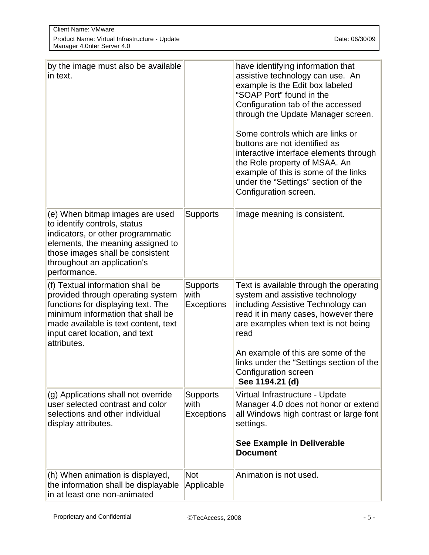| Client Name: VMware                                                         |                |
|-----------------------------------------------------------------------------|----------------|
| Product Name: Virtual Infrastructure - Update<br>Manager 4.0nter Server 4.0 | Date: 06/30/09 |

| by the image must also be available<br>in text.                                                                                                                                                                                           |                                       | have identifying information that<br>assistive technology can use. An<br>example is the Edit box labeled<br>"SOAP Port" found in the<br>Configuration tab of the accessed<br>through the Update Manager screen.<br>Some controls which are links or<br>buttons are not identified as<br>interactive interface elements through<br>the Role property of MSAA. An<br>example of this is some of the links<br>under the "Settings" section of the<br>Configuration screen. |
|-------------------------------------------------------------------------------------------------------------------------------------------------------------------------------------------------------------------------------------------|---------------------------------------|-------------------------------------------------------------------------------------------------------------------------------------------------------------------------------------------------------------------------------------------------------------------------------------------------------------------------------------------------------------------------------------------------------------------------------------------------------------------------|
| (e) When bitmap images are used<br>to identify controls, status<br>indicators, or other programmatic<br>elements, the meaning assigned to<br>those images shall be consistent<br>throughout an application's<br>performance.              | <b>Supports</b>                       | Image meaning is consistent.                                                                                                                                                                                                                                                                                                                                                                                                                                            |
| (f) Textual information shall be<br>provided through operating system<br>functions for displaying text. The<br>minimum information that shall be<br>made available is text content, text<br>input caret location, and text<br>attributes. | <b>Supports</b><br>with<br>Exceptions | Text is available through the operating<br>system and assistive technology<br>including Assistive Technology can<br>read it in many cases, however there<br>are examples when text is not being<br>read<br>An example of this are some of the<br>links under the "Settings section of the<br>Configuration screen<br>See 1194.21 (d)                                                                                                                                    |
| (g) Applications shall not override<br>user selected contrast and color<br>selections and other individual<br>display attributes.                                                                                                         | <b>Supports</b><br>with<br>Exceptions | Virtual Infrastructure - Update<br>Manager 4.0 does not honor or extend<br>all Windows high contrast or large font<br>settings.<br>See Example in Deliverable<br><b>Document</b>                                                                                                                                                                                                                                                                                        |
| (h) When animation is displayed,<br>the information shall be displayable<br>in at least one non-animated                                                                                                                                  | <b>Not</b><br>Applicable              | Animation is not used.                                                                                                                                                                                                                                                                                                                                                                                                                                                  |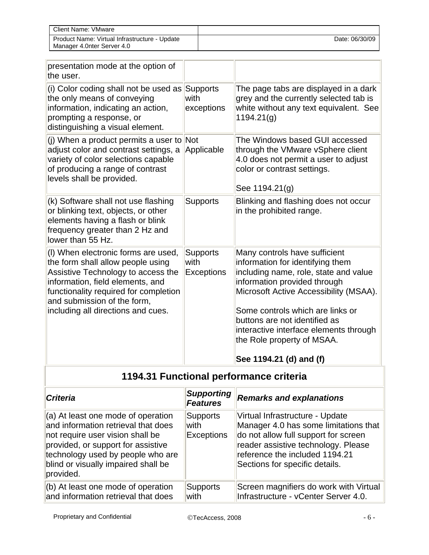| Client Name: VMware                                                         |                |
|-----------------------------------------------------------------------------|----------------|
| Product Name: Virtual Infrastructure - Update<br>Manager 4.0nter Server 4.0 | Date: 06/30/09 |

| presentation mode at the option of<br>the user.                                                                                                                                                                                                                  |                                              |                                                                                                                                                                                                                                                                                                                                                              |
|------------------------------------------------------------------------------------------------------------------------------------------------------------------------------------------------------------------------------------------------------------------|----------------------------------------------|--------------------------------------------------------------------------------------------------------------------------------------------------------------------------------------------------------------------------------------------------------------------------------------------------------------------------------------------------------------|
| (i) Color coding shall not be used as<br>the only means of conveying<br>information, indicating an action,<br>prompting a response, or<br>distinguishing a visual element.                                                                                       | Supports<br>with<br>exceptions               | The page tabs are displayed in a dark<br>grey and the currently selected tab is<br>white without any text equivalent. See<br>1194.21(q)                                                                                                                                                                                                                      |
| (j) When a product permits a user to<br>adjust color and contrast settings, a<br>variety of color selections capable<br>of producing a range of contrast<br>levels shall be provided.                                                                            | Not<br>Applicable                            | The Windows based GUI accessed<br>through the VMware vSphere client<br>4.0 does not permit a user to adjust<br>color or contrast settings.<br>See 1194.21(g)                                                                                                                                                                                                 |
| (k) Software shall not use flashing<br>or blinking text, objects, or other<br>elements having a flash or blink<br>frequency greater than 2 Hz and<br>lower than 55 Hz.                                                                                           | <b>Supports</b>                              | Blinking and flashing does not occur<br>in the prohibited range.                                                                                                                                                                                                                                                                                             |
| (I) When electronic forms are used,<br>the form shall allow people using<br>Assistive Technology to access the<br>information, field elements, and<br>functionality required for completion<br>and submission of the form,<br>including all directions and cues. | <b>Supports</b><br>with<br><b>Exceptions</b> | Many controls have sufficient<br>information for identifying them<br>including name, role, state and value<br>information provided through<br>Microsoft Active Accessibility (MSAA).<br>Some controls which are links or<br>buttons are not identified as<br>interactive interface elements through<br>the Role property of MSAA.<br>See 1194.21 (d) and (f) |

## **1194.31 Functional performance criteria**

| <b>Criteria</b>                                                                                                                                                                                                                              | <b>Supporting</b><br><b>Features</b>         | <b>Remarks and explanations</b>                                                                                                                                                                                             |
|----------------------------------------------------------------------------------------------------------------------------------------------------------------------------------------------------------------------------------------------|----------------------------------------------|-----------------------------------------------------------------------------------------------------------------------------------------------------------------------------------------------------------------------------|
| (a) At least one mode of operation<br>and information retrieval that does<br>not require user vision shall be<br>provided, or support for assistive<br>technology used by people who are<br>blind or visually impaired shall be<br>provided. | <b>Supports</b><br>with<br><b>Exceptions</b> | Virtual Infrastructure - Update<br>Manager 4.0 has some limitations that<br>do not allow full support for screen<br>reader assistive technology. Please<br>reference the included 1194.21<br>Sections for specific details. |
| $($ b) At least one mode of operation<br>and information retrieval that does                                                                                                                                                                 | <b>Supports</b><br>with                      | Screen magnifiers do work with Virtual<br>Infrastructure - vCenter Server 4.0.                                                                                                                                              |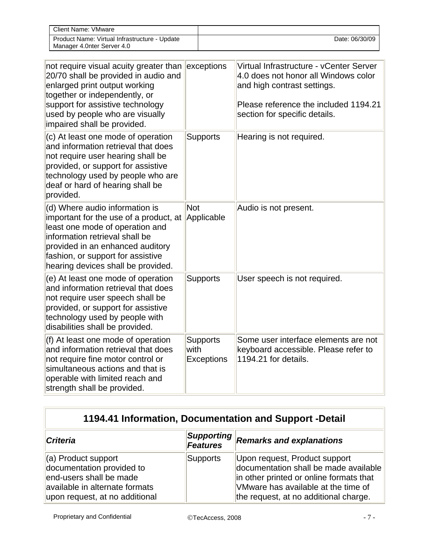| Client Name: VMware                                                         |                |
|-----------------------------------------------------------------------------|----------------|
| Product Name: Virtual Infrastructure - Update<br>Manager 4.0nter Server 4.0 | Date: 06/30/09 |

| not require visual acuity greater than<br>20/70 shall be provided in audio and<br>enlarged print output working<br>together or independently, or<br>support for assistive technology<br>used by people who are visually<br>impaired shall be provided.       | exceptions                                   | Virtual Infrastructure - vCenter Server<br>4.0 does not honor all Windows color<br>and high contrast settings.<br>Please reference the included 1194.21<br>section for specific details. |
|--------------------------------------------------------------------------------------------------------------------------------------------------------------------------------------------------------------------------------------------------------------|----------------------------------------------|------------------------------------------------------------------------------------------------------------------------------------------------------------------------------------------|
| (c) At least one mode of operation<br>and information retrieval that does<br>not require user hearing shall be<br>provided, or support for assistive<br>technology used by people who are<br>deaf or hard of hearing shall be<br>provided.                   | <b>Supports</b>                              | Hearing is not required.                                                                                                                                                                 |
| (d) Where audio information is<br>important for the use of a product, at<br>least one mode of operation and<br>information retrieval shall be<br>provided in an enhanced auditory<br>fashion, or support for assistive<br>hearing devices shall be provided. | <b>Not</b><br>Applicable                     | Audio is not present.                                                                                                                                                                    |
| (e) At least one mode of operation<br>and information retrieval that does<br>not require user speech shall be<br>provided, or support for assistive<br>technology used by people with<br>disabilities shall be provided.                                     | <b>Supports</b>                              | User speech is not required.                                                                                                                                                             |
| (f) At least one mode of operation<br>and information retrieval that does<br>not require fine motor control or<br>simultaneous actions and that is<br>operable with limited reach and<br>strength shall be provided.                                         | <b>Supports</b><br>with<br><b>Exceptions</b> | Some user interface elements are not<br>keyboard accessible. Please refer to<br>1194.21 for details.                                                                                     |

| <b>Criteria</b>                                                                                               | Supporting<br>Features | <b>Remarks and explanations</b>                                                                                                                          |
|---------------------------------------------------------------------------------------------------------------|------------------------|----------------------------------------------------------------------------------------------------------------------------------------------------------|
| (a) Product support<br>documentation provided to<br>end-users shall be made<br>available in alternate formats | Supports               | Upon request, Product support<br>documentation shall be made available<br>in other printed or online formats that<br>VMware has available at the time of |
| upon request, at no additional                                                                                |                        | the request, at no additional charge.                                                                                                                    |